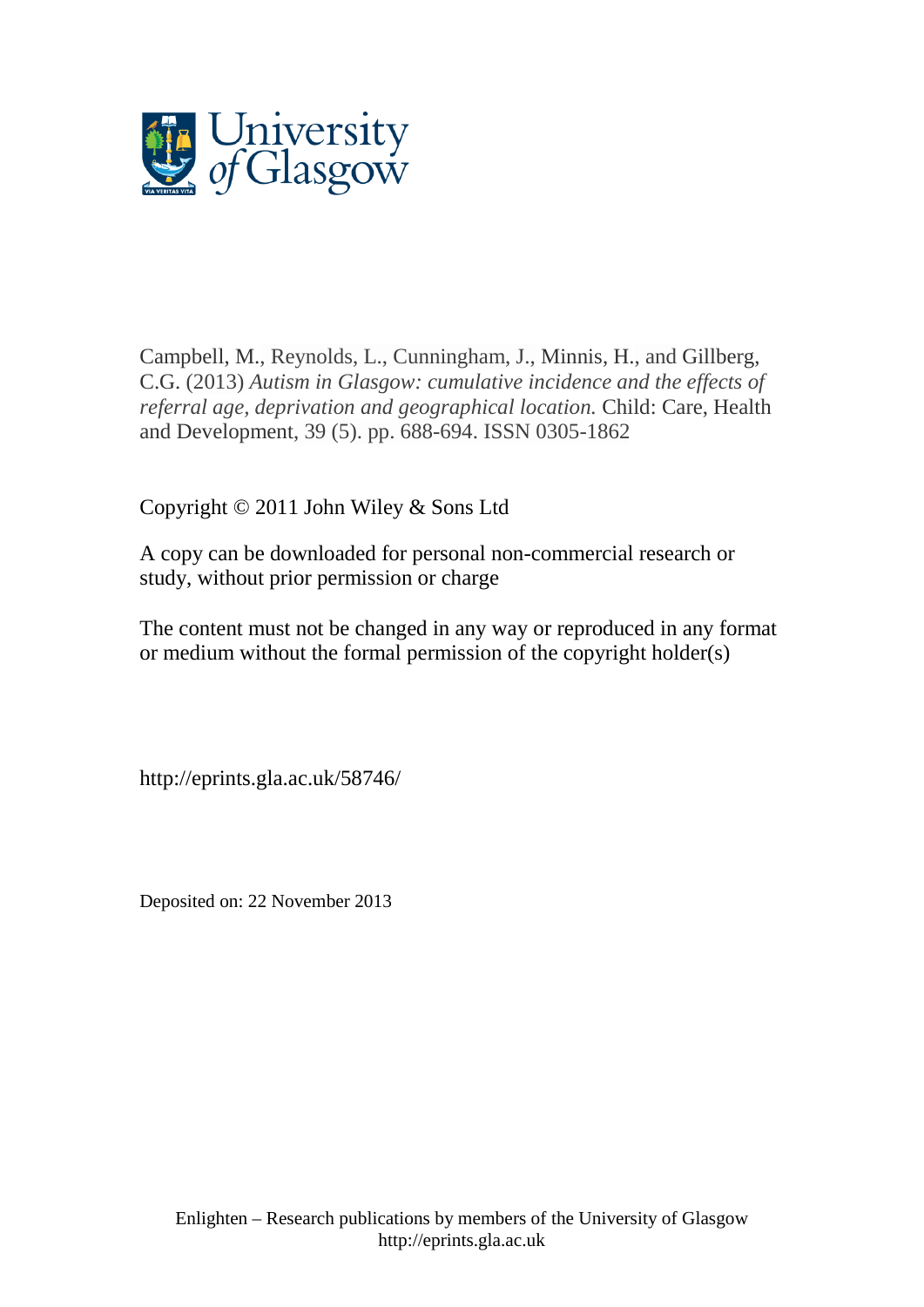

[Campbell, M.,](http://eprints.gla.ac.uk/view/author/9756.html) Reynolds, L., Cunningham, J., [Minnis, H.,](http://eprints.gla.ac.uk/view/author/6137.html) and [Gillberg,](http://eprints.gla.ac.uk/view/author/15882.html)  [C.G.](http://eprints.gla.ac.uk/view/author/15882.html) (2013) *Autism in Glasgow: cumulative incidence and the effects of referral age, deprivation and geographical location.* [Child: Care, Health](http://eprints.gla.ac.uk/view/journal_volume/Child=3A_Care,_Health_and_Development.html)  [and Development,](http://eprints.gla.ac.uk/view/journal_volume/Child=3A_Care,_Health_and_Development.html) 39 (5). pp. 688-694. ISSN 0305-1862

Copyright © 2011 John Wiley & Sons Ltd

A copy can be downloaded for personal non-commercial research or study, without prior permission or charge

The content must not be changed in any way or reproduced in any format or medium without the formal permission of the copyright holder(s)

http://eprints.gla.ac.uk/58746/

Deposited on: 22 November 2013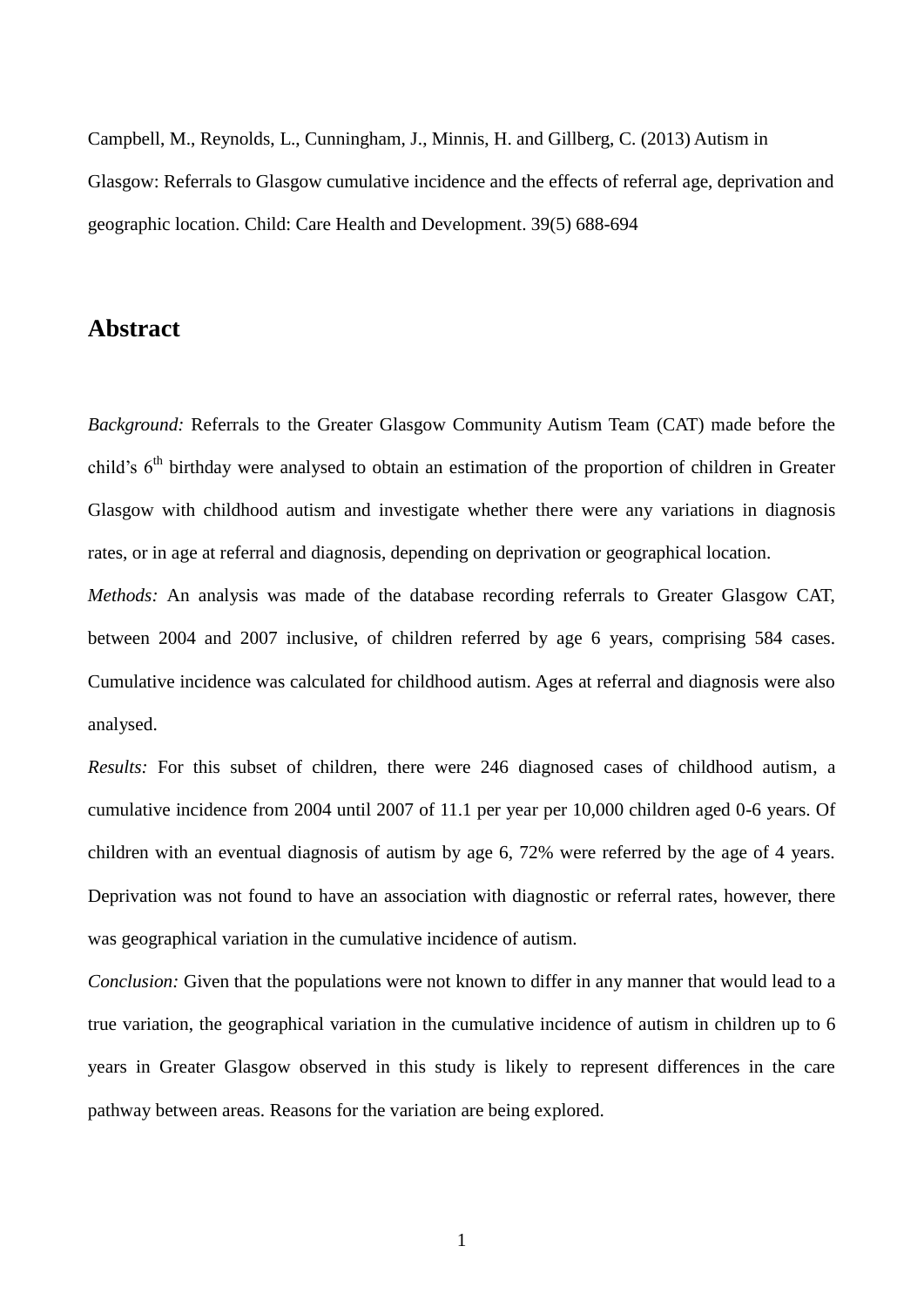Campbell, M., Reynolds, L., Cunningham, J., Minnis, H. and Gillberg, C. (2013) Autism in Glasgow: Referrals to Glasgow cumulative incidence and the effects of referral age, deprivation and geographic location. Child: Care Health and Development. 39(5) 688-694

## **Abstract**

*Background:* Referrals to the Greater Glasgow Community Autism Team (CAT) made before the child's 6<sup>th</sup> birthday were analysed to obtain an estimation of the proportion of children in Greater Glasgow with childhood autism and investigate whether there were any variations in diagnosis rates, or in age at referral and diagnosis, depending on deprivation or geographical location.

*Methods:* An analysis was made of the database recording referrals to Greater Glasgow CAT, between 2004 and 2007 inclusive, of children referred by age 6 years, comprising 584 cases. Cumulative incidence was calculated for childhood autism. Ages at referral and diagnosis were also analysed.

*Results:* For this subset of children, there were 246 diagnosed cases of childhood autism, a cumulative incidence from 2004 until 2007 of 11.1 per year per 10,000 children aged 0-6 years. Of children with an eventual diagnosis of autism by age 6, 72% were referred by the age of 4 years. Deprivation was not found to have an association with diagnostic or referral rates, however, there was geographical variation in the cumulative incidence of autism.

*Conclusion:* Given that the populations were not known to differ in any manner that would lead to a true variation, the geographical variation in the cumulative incidence of autism in children up to 6 years in Greater Glasgow observed in this study is likely to represent differences in the care pathway between areas. Reasons for the variation are being explored.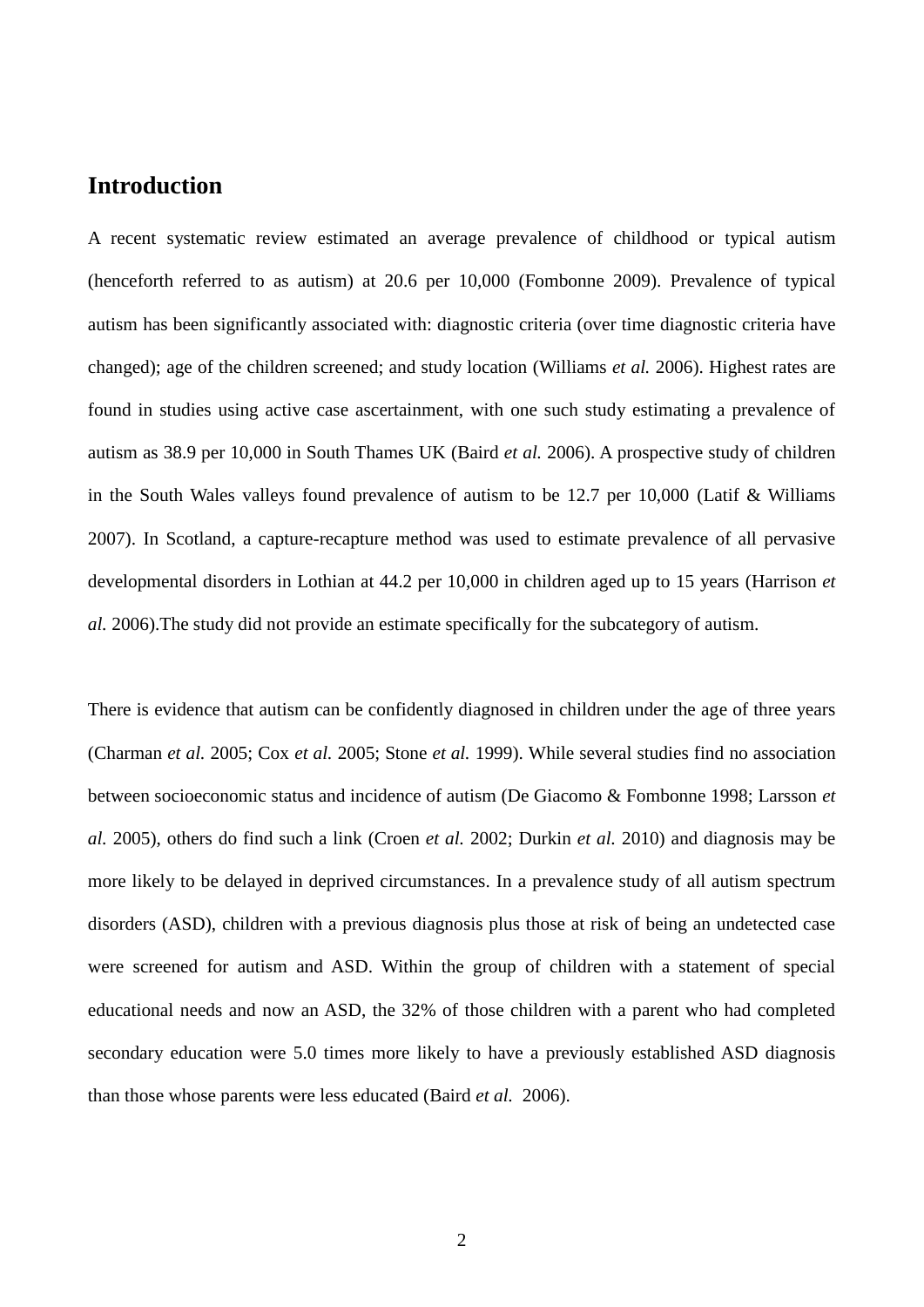# **Introduction**

A recent systematic review estimated an average prevalence of childhood or typical autism (henceforth referred to as autism) at 20.6 per 10,000 (Fombonne 2009). Prevalence of typical autism has been significantly associated with: diagnostic criteria (over time diagnostic criteria have changed); age of the children screened; and study location (Williams *et al.* 2006). Highest rates are found in studies using active case ascertainment, with one such study estimating a prevalence of autism as 38.9 per 10,000 in South Thames UK (Baird *et al.* 2006). A prospective study of children in the South Wales valleys found prevalence of autism to be 12.7 per 10,000 (Latif & Williams 2007). In Scotland, a capture-recapture method was used to estimate prevalence of all pervasive developmental disorders in Lothian at 44.2 per 10,000 in children aged up to 15 years (Harrison *et al.* 2006).The study did not provide an estimate specifically for the subcategory of autism.

There is evidence that autism can be confidently diagnosed in children under the age of three years (Charman *et al.* 2005; Cox *et al.* 2005; Stone *et al.* 1999). While several studies find no association between socioeconomic status and incidence of autism (De Giacomo & Fombonne 1998; Larsson *et al.* 2005), others do find such a link (Croen *et al.* 2002; Durkin *et al.* 2010) and diagnosis may be more likely to be delayed in deprived circumstances. In a prevalence study of all autism spectrum disorders (ASD), children with a previous diagnosis plus those at risk of being an undetected case were screened for autism and ASD. Within the group of children with a statement of special educational needs and now an ASD, the 32% of those children with a parent who had completed secondary education were 5.0 times more likely to have a previously established ASD diagnosis than those whose parents were less educated (Baird *et al.* 2006).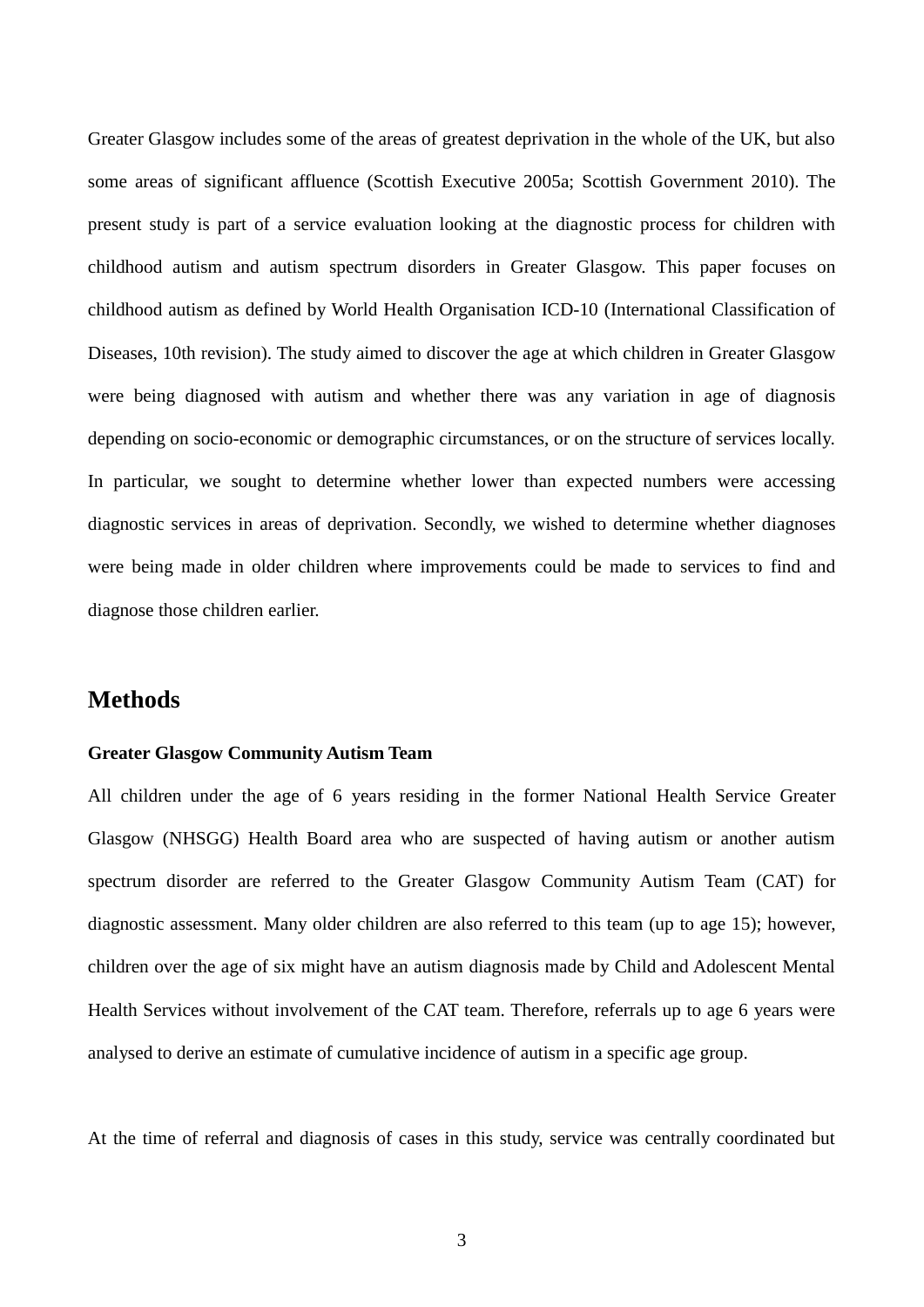Greater Glasgow includes some of the areas of greatest deprivation in the whole of the UK, but also some areas of significant affluence (Scottish Executive 2005a; Scottish Government 2010). The present study is part of a service evaluation looking at the diagnostic process for children with childhood autism and autism spectrum disorders in Greater Glasgow. This paper focuses on childhood autism as defined by World Health Organisation ICD-10 (International Classification of Diseases, 10th revision). The study aimed to discover the age at which children in Greater Glasgow were being diagnosed with autism and whether there was any variation in age of diagnosis depending on socio-economic or demographic circumstances, or on the structure of services locally. In particular, we sought to determine whether lower than expected numbers were accessing diagnostic services in areas of deprivation. Secondly, we wished to determine whether diagnoses were being made in older children where improvements could be made to services to find and diagnose those children earlier.

## **Methods**

#### **Greater Glasgow Community Autism Team**

All children under the age of 6 years residing in the former National Health Service Greater Glasgow (NHSGG) Health Board area who are suspected of having autism or another autism spectrum disorder are referred to the Greater Glasgow Community Autism Team (CAT) for diagnostic assessment. Many older children are also referred to this team (up to age 15); however, children over the age of six might have an autism diagnosis made by Child and Adolescent Mental Health Services without involvement of the CAT team. Therefore, referrals up to age 6 years were analysed to derive an estimate of cumulative incidence of autism in a specific age group.

At the time of referral and diagnosis of cases in this study, service was centrally coordinated but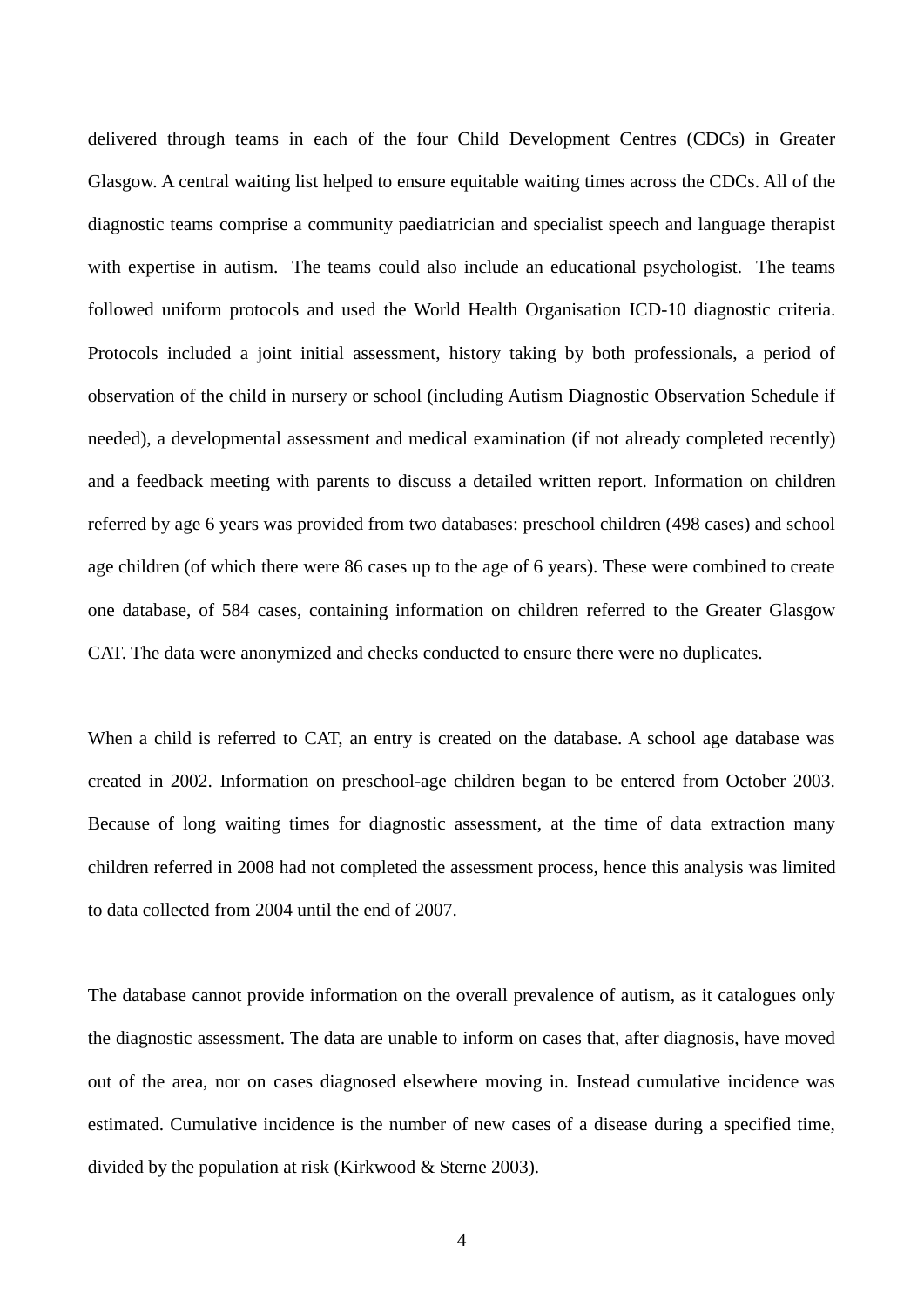delivered through teams in each of the four Child Development Centres (CDCs) in Greater Glasgow. A central waiting list helped to ensure equitable waiting times across the CDCs. All of the diagnostic teams comprise a community paediatrician and specialist speech and language therapist with expertise in autism. The teams could also include an educational psychologist. The teams followed uniform protocols and used the World Health Organisation ICD-10 diagnostic criteria. Protocols included a joint initial assessment, history taking by both professionals, a period of observation of the child in nursery or school (including Autism Diagnostic Observation Schedule if needed), a developmental assessment and medical examination (if not already completed recently) and a feedback meeting with parents to discuss a detailed written report. Information on children referred by age 6 years was provided from two databases: preschool children (498 cases) and school age children (of which there were 86 cases up to the age of 6 years). These were combined to create one database, of 584 cases, containing information on children referred to the Greater Glasgow CAT. The data were anonymized and checks conducted to ensure there were no duplicates.

When a child is referred to CAT, an entry is created on the database. A school age database was created in 2002. Information on preschool-age children began to be entered from October 2003. Because of long waiting times for diagnostic assessment, at the time of data extraction many children referred in 2008 had not completed the assessment process, hence this analysis was limited to data collected from 2004 until the end of 2007.

The database cannot provide information on the overall prevalence of autism, as it catalogues only the diagnostic assessment. The data are unable to inform on cases that, after diagnosis, have moved out of the area, nor on cases diagnosed elsewhere moving in. Instead cumulative incidence was estimated. Cumulative incidence is the number of new cases of a disease during a specified time, divided by the population at risk (Kirkwood & Sterne 2003).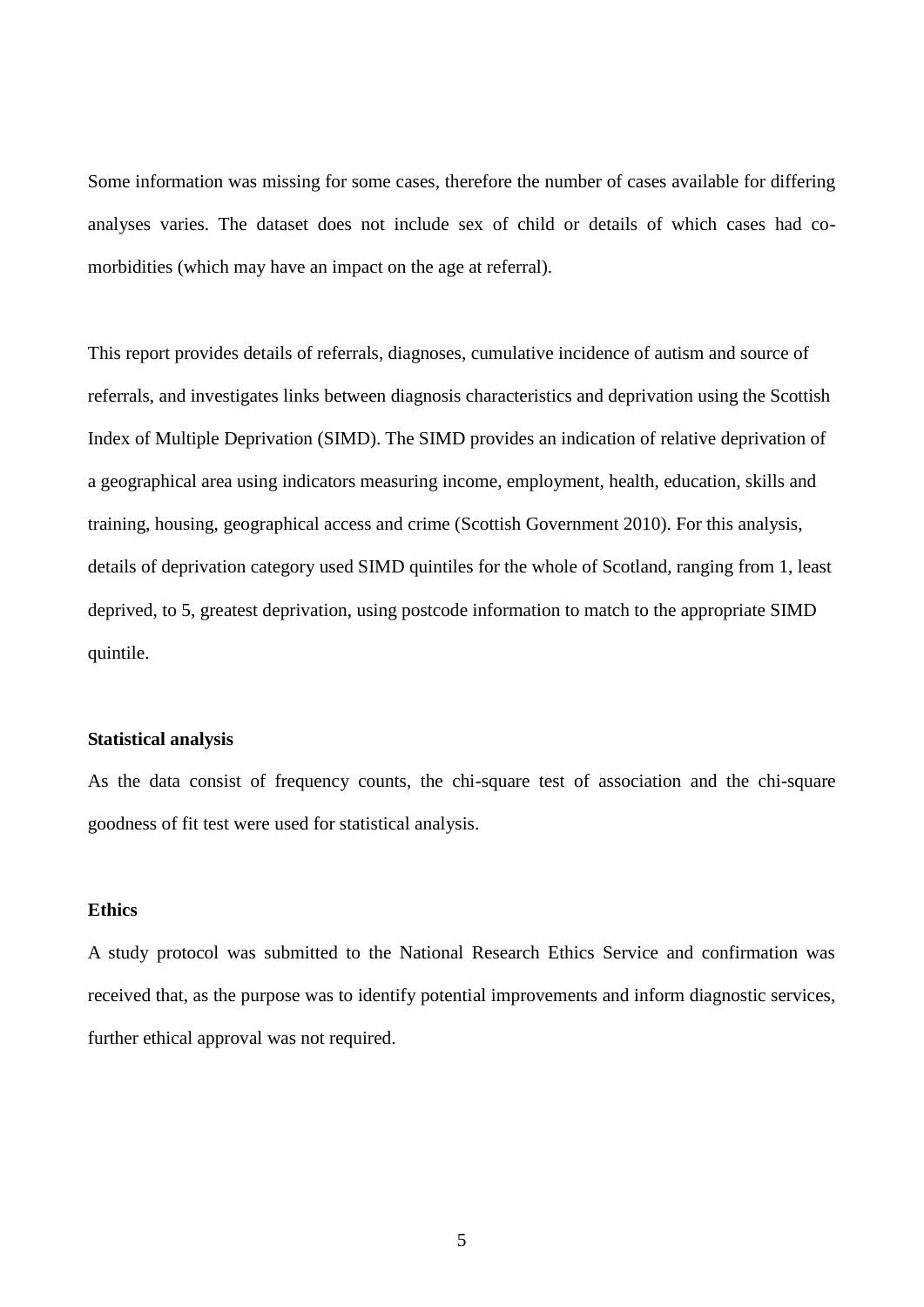Some information was missing for some cases, therefore the number of cases available for differing analyses varies. The dataset does not include sex of child or details of which cases had comorbidities (which may have an impact on the age at referral).

This report provides details of referrals, diagnoses, cumulative incidence of autism and source of referrals, and investigates links between diagnosis characteristics and deprivation using the Scottish Index of Multiple Deprivation (SIMD). The SIMD provides an indication of relative deprivation of a geographical area using indicators measuring income, employment, health, education, skills and training, housing, geographical access and crime (Scottish Government 2010). For this analysis, details of deprivation category used SIMD quintiles for the whole of Scotland, ranging from 1, least deprived, to 5, greatest deprivation, using postcode information to match to the appropriate SIMD quintile.

#### **Statistical analysis**

As the data consist of frequency counts, the chi-square test of association and the chi-square goodness of fit test were used for statistical analysis.

### **Ethics**

A study protocol was submitted to the National Research Ethics Service and confirmation was received that, as the purpose was to identify potential improvements and inform diagnostic services, further ethical approval was not required.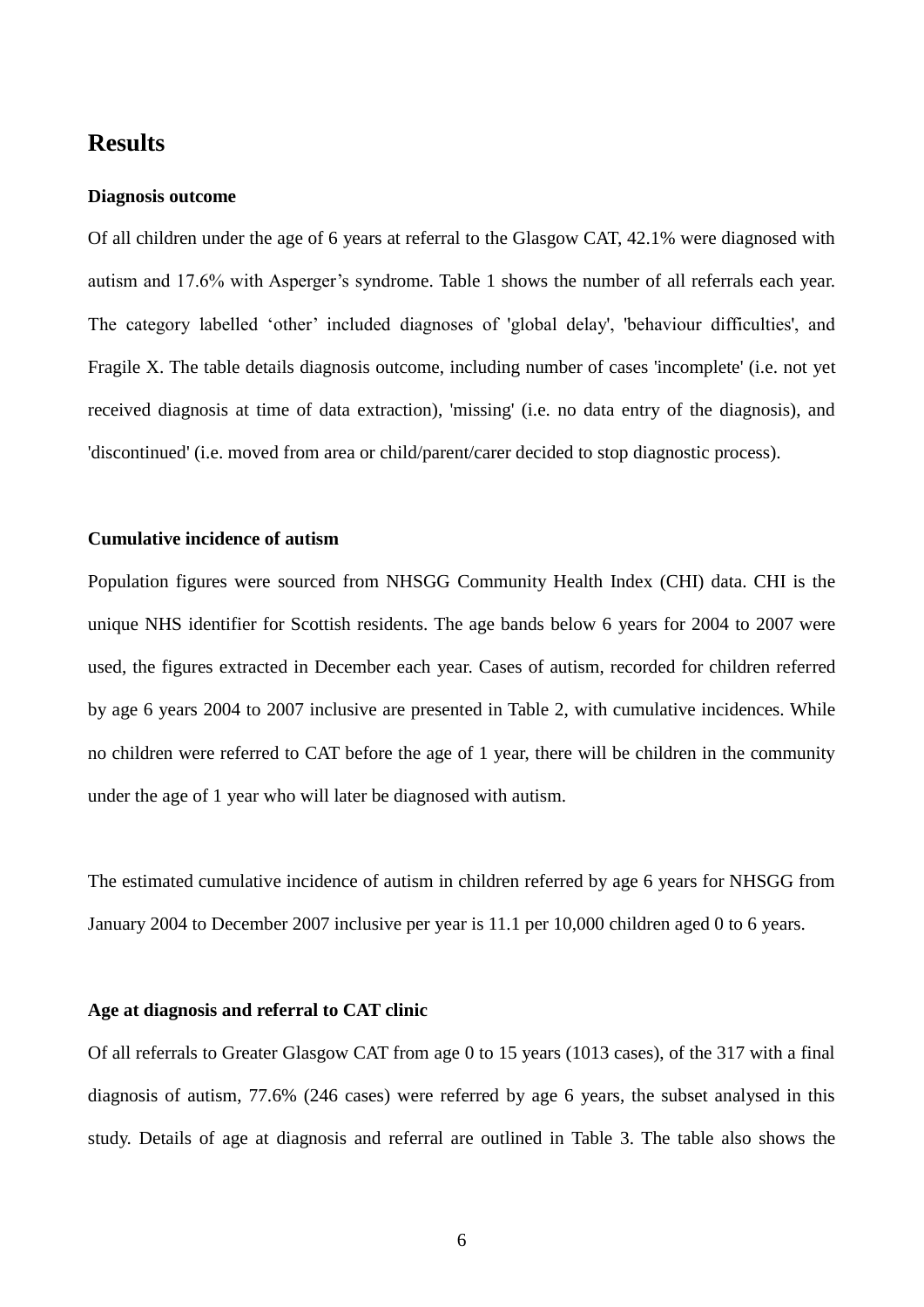## **Results**

#### **Diagnosis outcome**

Of all children under the age of 6 years at referral to the Glasgow CAT, 42.1% were diagnosed with autism and 17.6% with Asperger's syndrome. Table 1 shows the number of all referrals each year. The category labelled 'other' included diagnoses of 'global delay', 'behaviour difficulties', and Fragile X. The table details diagnosis outcome, including number of cases 'incomplete' (i.e. not yet received diagnosis at time of data extraction), 'missing' (i.e. no data entry of the diagnosis), and 'discontinued' (i.e. moved from area or child/parent/carer decided to stop diagnostic process).

### **Cumulative incidence of autism**

Population figures were sourced from NHSGG Community Health Index (CHI) data. CHI is the unique NHS identifier for Scottish residents. The age bands below 6 years for 2004 to 2007 were used, the figures extracted in December each year. Cases of autism, recorded for children referred by age 6 years 2004 to 2007 inclusive are presented in Table 2, with cumulative incidences. While no children were referred to CAT before the age of 1 year, there will be children in the community under the age of 1 year who will later be diagnosed with autism.

The estimated cumulative incidence of autism in children referred by age 6 years for NHSGG from January 2004 to December 2007 inclusive per year is 11.1 per 10,000 children aged 0 to 6 years.

#### **Age at diagnosis and referral to CAT clinic**

Of all referrals to Greater Glasgow CAT from age 0 to 15 years (1013 cases), of the 317 with a final diagnosis of autism, 77.6% (246 cases) were referred by age 6 years, the subset analysed in this study. Details of age at diagnosis and referral are outlined in Table 3. The table also shows the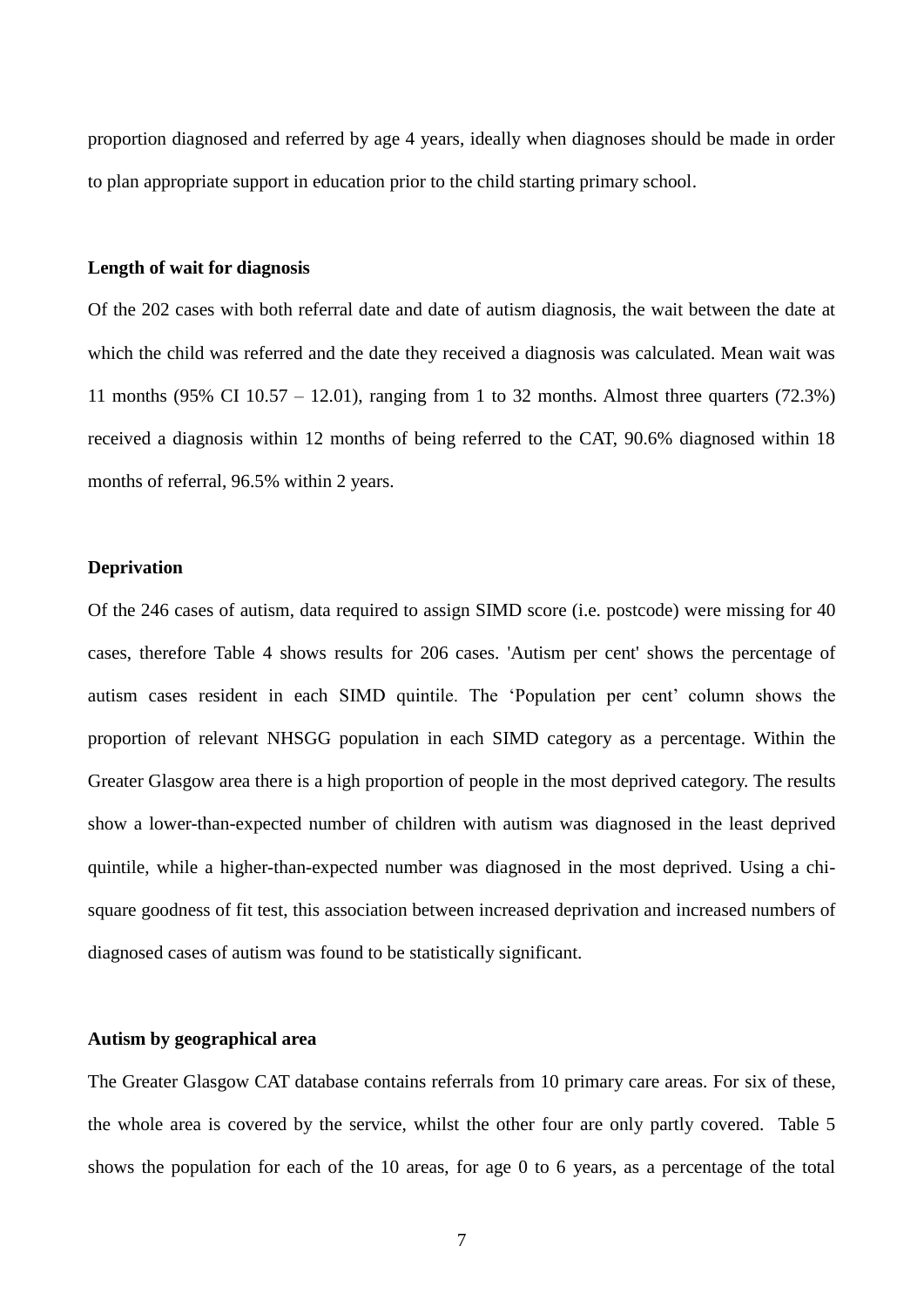proportion diagnosed and referred by age 4 years, ideally when diagnoses should be made in order to plan appropriate support in education prior to the child starting primary school.

#### **Length of wait for diagnosis**

Of the 202 cases with both referral date and date of autism diagnosis, the wait between the date at which the child was referred and the date they received a diagnosis was calculated. Mean wait was 11 months (95% CI 10.57 – 12.01), ranging from 1 to 32 months. Almost three quarters (72.3%) received a diagnosis within 12 months of being referred to the CAT, 90.6% diagnosed within 18 months of referral, 96.5% within 2 years.

#### **Deprivation**

Of the 246 cases of autism, data required to assign SIMD score (i.e. postcode) were missing for 40 cases, therefore Table 4 shows results for 206 cases. 'Autism per cent' shows the percentage of autism cases resident in each SIMD quintile. The 'Population per cent' column shows the proportion of relevant NHSGG population in each SIMD category as a percentage. Within the Greater Glasgow area there is a high proportion of people in the most deprived category. The results show a lower-than-expected number of children with autism was diagnosed in the least deprived quintile, while a higher-than-expected number was diagnosed in the most deprived. Using a chisquare goodness of fit test, this association between increased deprivation and increased numbers of diagnosed cases of autism was found to be statistically significant.

#### **Autism by geographical area**

The Greater Glasgow CAT database contains referrals from 10 primary care areas. For six of these, the whole area is covered by the service, whilst the other four are only partly covered. Table 5 shows the population for each of the 10 areas, for age 0 to 6 years, as a percentage of the total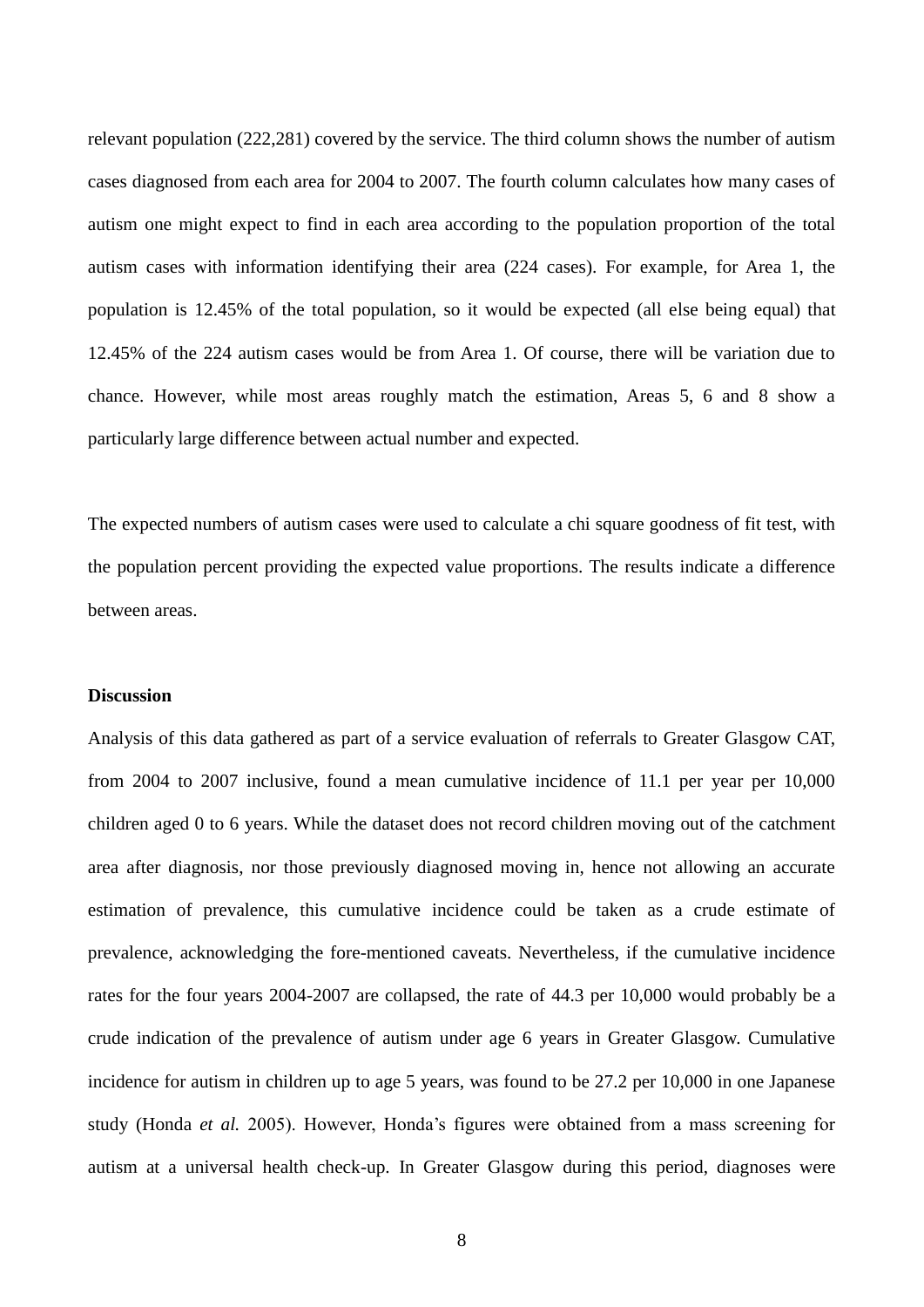relevant population (222,281) covered by the service. The third column shows the number of autism cases diagnosed from each area for 2004 to 2007. The fourth column calculates how many cases of autism one might expect to find in each area according to the population proportion of the total autism cases with information identifying their area (224 cases). For example, for Area 1, the population is 12.45% of the total population, so it would be expected (all else being equal) that 12.45% of the 224 autism cases would be from Area 1. Of course, there will be variation due to chance. However, while most areas roughly match the estimation, Areas 5, 6 and 8 show a particularly large difference between actual number and expected.

The expected numbers of autism cases were used to calculate a chi square goodness of fit test, with the population percent providing the expected value proportions. The results indicate a difference between areas.

#### **Discussion**

Analysis of this data gathered as part of a service evaluation of referrals to Greater Glasgow CAT, from 2004 to 2007 inclusive, found a mean cumulative incidence of 11.1 per year per 10,000 children aged 0 to 6 years. While the dataset does not record children moving out of the catchment area after diagnosis, nor those previously diagnosed moving in, hence not allowing an accurate estimation of prevalence, this cumulative incidence could be taken as a crude estimate of prevalence, acknowledging the fore-mentioned caveats. Nevertheless, if the cumulative incidence rates for the four years 2004-2007 are collapsed, the rate of 44.3 per 10,000 would probably be a crude indication of the prevalence of autism under age 6 years in Greater Glasgow. Cumulative incidence for autism in children up to age 5 years, was found to be 27.2 per 10,000 in one Japanese study (Honda *et al.* 2005). However, Honda's figures were obtained from a mass screening for autism at a universal health check-up. In Greater Glasgow during this period, diagnoses were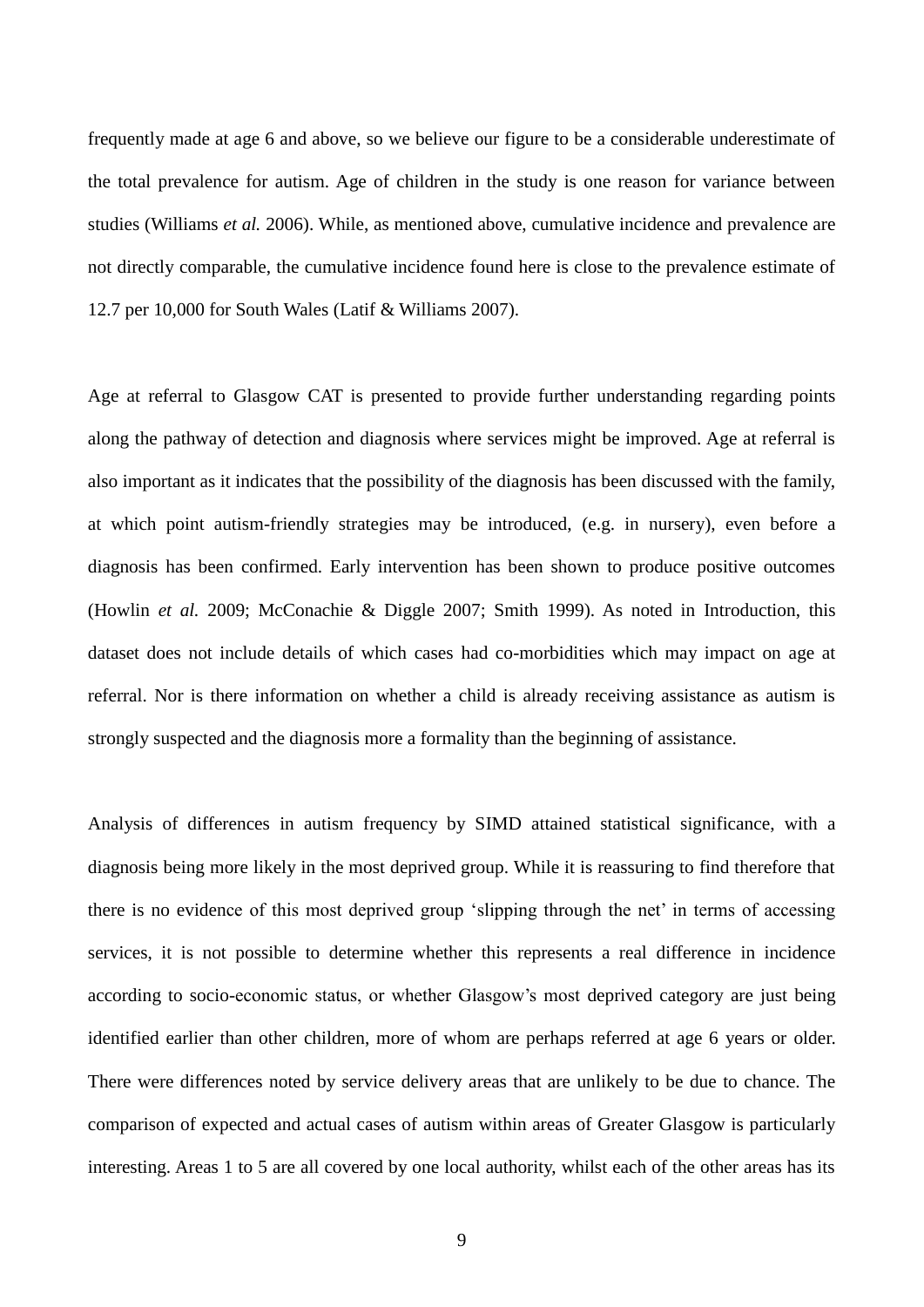frequently made at age 6 and above, so we believe our figure to be a considerable underestimate of the total prevalence for autism. Age of children in the study is one reason for variance between studies (Williams *et al.* 2006). While, as mentioned above, cumulative incidence and prevalence are not directly comparable, the cumulative incidence found here is close to the prevalence estimate of 12.7 per 10,000 for South Wales (Latif & Williams 2007).

Age at referral to Glasgow CAT is presented to provide further understanding regarding points along the pathway of detection and diagnosis where services might be improved. Age at referral is also important as it indicates that the possibility of the diagnosis has been discussed with the family, at which point autism-friendly strategies may be introduced, (e.g. in nursery), even before a diagnosis has been confirmed. Early intervention has been shown to produce positive outcomes (Howlin *et al.* 2009; McConachie & Diggle 2007; Smith 1999). As noted in Introduction, this dataset does not include details of which cases had co-morbidities which may impact on age at referral. Nor is there information on whether a child is already receiving assistance as autism is strongly suspected and the diagnosis more a formality than the beginning of assistance.

Analysis of differences in autism frequency by SIMD attained statistical significance, with a diagnosis being more likely in the most deprived group. While it is reassuring to find therefore that there is no evidence of this most deprived group 'slipping through the net' in terms of accessing services, it is not possible to determine whether this represents a real difference in incidence according to socio-economic status, or whether Glasgow's most deprived category are just being identified earlier than other children, more of whom are perhaps referred at age 6 years or older. There were differences noted by service delivery areas that are unlikely to be due to chance. The comparison of expected and actual cases of autism within areas of Greater Glasgow is particularly interesting. Areas 1 to 5 are all covered by one local authority, whilst each of the other areas has its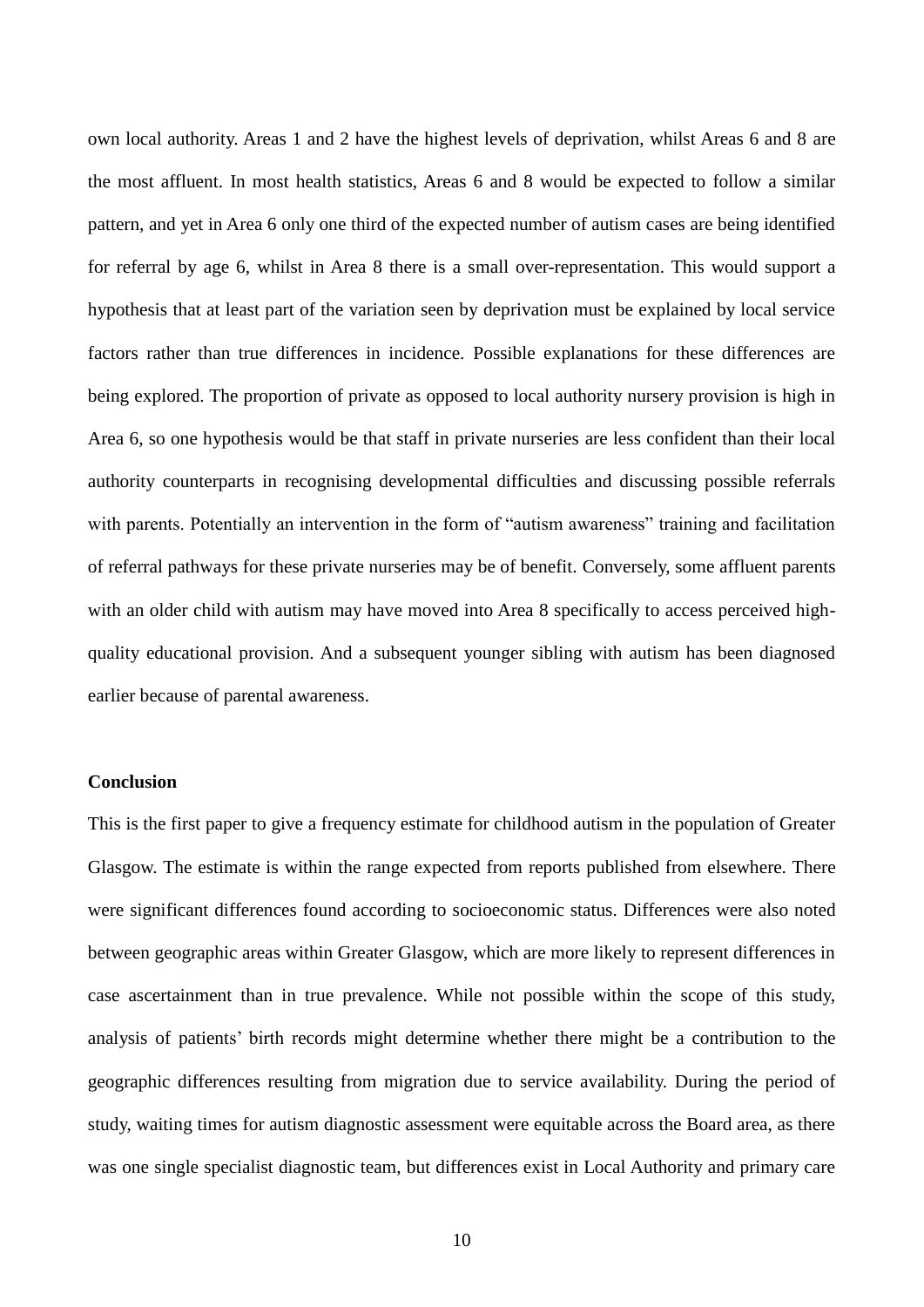own local authority. Areas 1 and 2 have the highest levels of deprivation, whilst Areas 6 and 8 are the most affluent. In most health statistics, Areas 6 and 8 would be expected to follow a similar pattern, and yet in Area 6 only one third of the expected number of autism cases are being identified for referral by age 6, whilst in Area 8 there is a small over-representation. This would support a hypothesis that at least part of the variation seen by deprivation must be explained by local service factors rather than true differences in incidence. Possible explanations for these differences are being explored. The proportion of private as opposed to local authority nursery provision is high in Area 6, so one hypothesis would be that staff in private nurseries are less confident than their local authority counterparts in recognising developmental difficulties and discussing possible referrals with parents. Potentially an intervention in the form of "autism awareness" training and facilitation of referral pathways for these private nurseries may be of benefit. Conversely, some affluent parents with an older child with autism may have moved into Area 8 specifically to access perceived highquality educational provision. And a subsequent younger sibling with autism has been diagnosed earlier because of parental awareness.

### **Conclusion**

This is the first paper to give a frequency estimate for childhood autism in the population of Greater Glasgow. The estimate is within the range expected from reports published from elsewhere. There were significant differences found according to socioeconomic status. Differences were also noted between geographic areas within Greater Glasgow, which are more likely to represent differences in case ascertainment than in true prevalence. While not possible within the scope of this study, analysis of patients' birth records might determine whether there might be a contribution to the geographic differences resulting from migration due to service availability. During the period of study, waiting times for autism diagnostic assessment were equitable across the Board area, as there was one single specialist diagnostic team, but differences exist in Local Authority and primary care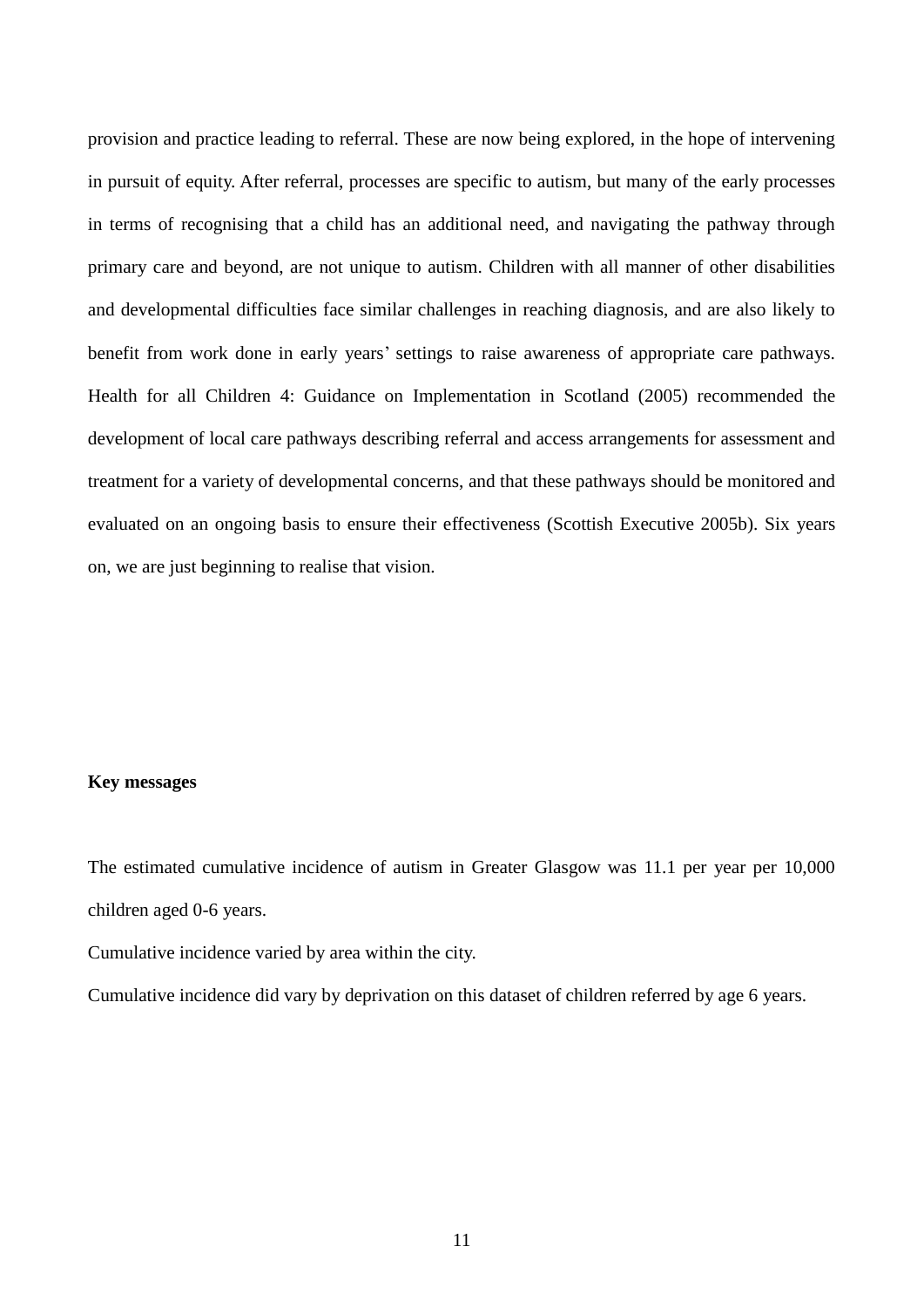provision and practice leading to referral. These are now being explored, in the hope of intervening in pursuit of equity. After referral, processes are specific to autism, but many of the early processes in terms of recognising that a child has an additional need, and navigating the pathway through primary care and beyond, are not unique to autism. Children with all manner of other disabilities and developmental difficulties face similar challenges in reaching diagnosis, and are also likely to benefit from work done in early years' settings to raise awareness of appropriate care pathways. Health for all Children 4: Guidance on Implementation in Scotland (2005) recommended the development of local care pathways describing referral and access arrangements for assessment and treatment for a variety of developmental concerns, and that these pathways should be monitored and evaluated on an ongoing basis to ensure their effectiveness (Scottish Executive 2005b). Six years on, we are just beginning to realise that vision.

#### **Key messages**

The estimated cumulative incidence of autism in Greater Glasgow was 11.1 per year per 10,000 children aged 0-6 years.

Cumulative incidence varied by area within the city.

Cumulative incidence did vary by deprivation on this dataset of children referred by age 6 years.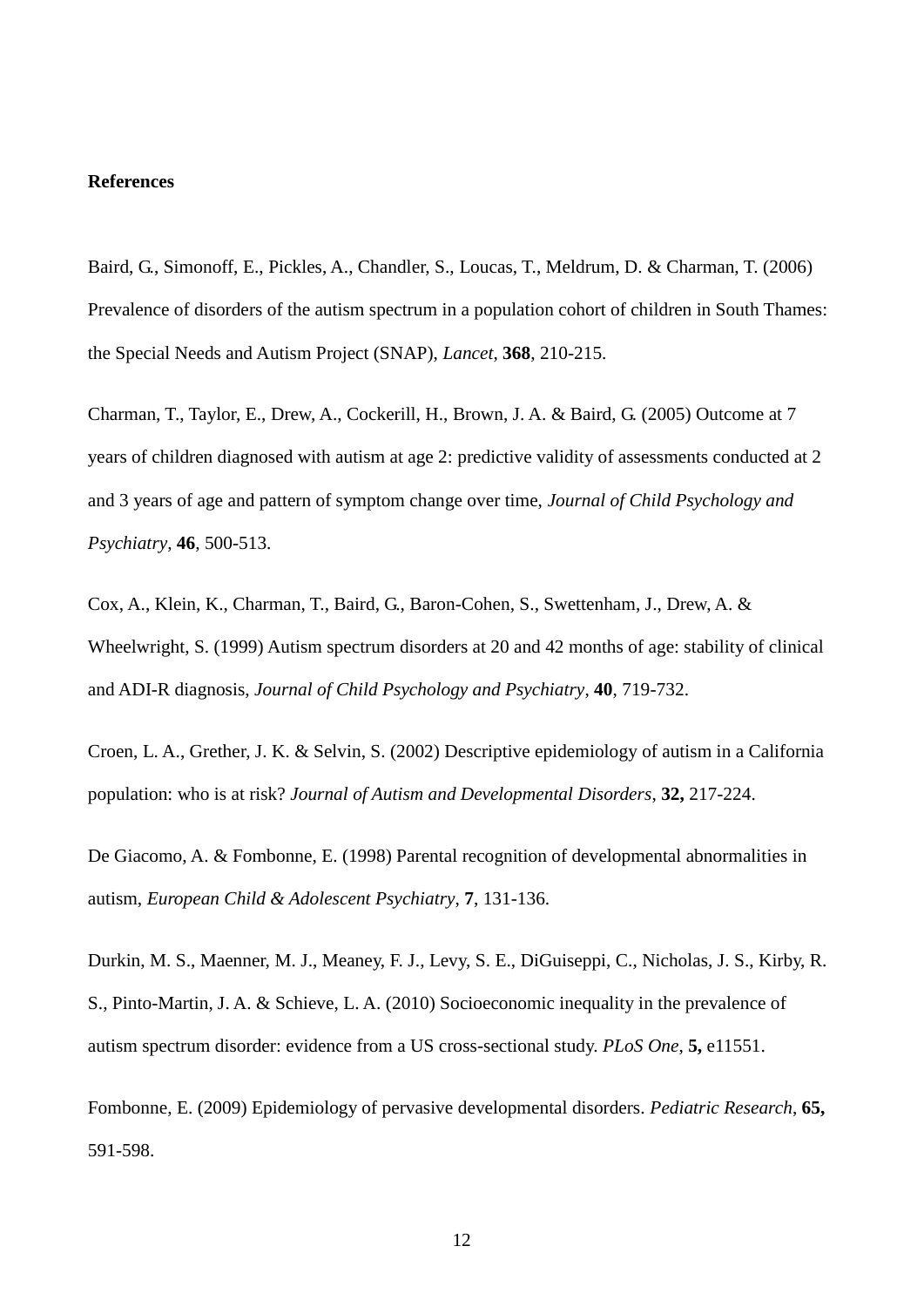### **References**

Baird, G., Simonoff, E., Pickles, A., Chandler, S., Loucas, T., Meldrum, D. & Charman, T. (2006) Prevalence of disorders of the autism spectrum in a population cohort of children in South Thames: the Special Needs and Autism Project (SNAP), *Lancet*, **368**, 210-215.

Charman, T., Taylor, E., Drew, A., Cockerill, H., Brown, J. A. & Baird, G. (2005) Outcome at 7 years of children diagnosed with autism at age 2: predictive validity of assessments conducted at 2 and 3 years of age and pattern of symptom change over time, *Journal of Child Psychology and Psychiatry*, **46**, 500-513.

Cox, A., Klein, K., Charman, T., Baird, G., Baron-Cohen, S., Swettenham, J., Drew, A. & Wheelwright, S. (1999) Autism spectrum disorders at 20 and 42 months of age: stability of clinical and ADI-R diagnosis, *Journal of Child Psychology and Psychiatry*, **40**, 719-732.

Croen, L. A., Grether, J. K. & Selvin, S. (2002) Descriptive epidemiology of autism in a California population: who is at risk? *Journal of Autism and Developmental Disorders*, **32,** 217-224.

De Giacomo, A. & Fombonne, E. (1998) Parental recognition of developmental abnormalities in autism, *European Child & Adolescent Psychiatry*, **7**, 131-136.

Durkin, M. S., Maenner, M. J., Meaney, F. J., Levy, S. E., DiGuiseppi, C., Nicholas, J. S., Kirby, R. S., Pinto-Martin, J. A. & Schieve, L. A. (2010) Socioeconomic inequality in the prevalence of autism spectrum disorder: evidence from a US cross-sectional study. *PLoS One*, **5,** e11551.

Fombonne, E. (2009) Epidemiology of pervasive developmental disorders. *Pediatric Research*, **65,** 591-598.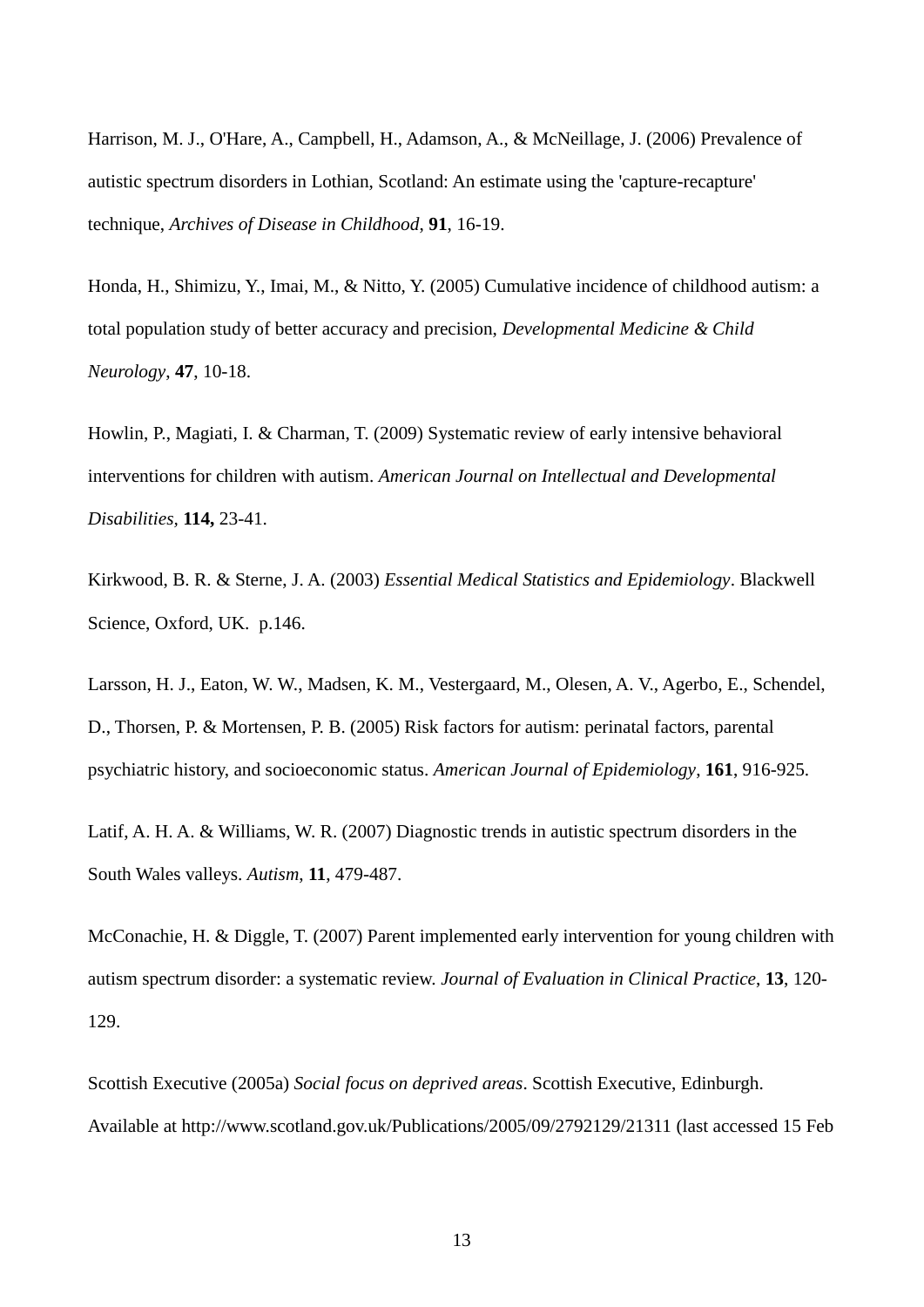Harrison, M. J., O'Hare, A., Campbell, H., Adamson, A., & McNeillage, J. (2006) Prevalence of autistic spectrum disorders in Lothian, Scotland: An estimate using the 'capture-recapture' technique, *Archives of Disease in Childhood*, **91**, 16-19.

Honda, H., Shimizu, Y., Imai, M., & Nitto, Y. (2005) Cumulative incidence of childhood autism: a total population study of better accuracy and precision, *Developmental Medicine & Child Neurology*, **47**, 10-18.

Howlin, P., Magiati, I. & Charman, T. (2009) Systematic review of early intensive behavioral interventions for children with autism. *American Journal on Intellectual and Developmental Disabilities,* **114,** 23-41.

Kirkwood, B. R. & Sterne, J. A. (2003) *Essential Medical Statistics and Epidemiology*. Blackwell Science, Oxford, UK. p.146.

Larsson, H. J., Eaton, W. W., Madsen, K. M., Vestergaard, M., Olesen, A. V., Agerbo, E., Schendel, D., Thorsen, P. & Mortensen, P. B. (2005) Risk factors for autism: perinatal factors, parental psychiatric history, and socioeconomic status. *American Journal of Epidemiology*, **161**, 916-925.

Latif, A. H. A. & Williams, W. R. (2007) Diagnostic trends in autistic spectrum disorders in the South Wales valleys. *Autism*, **11**, 479-487.

McConachie, H. & Diggle, T. (2007) Parent implemented early intervention for young children with autism spectrum disorder: a systematic review. *Journal of Evaluation in Clinical Practice*, **13**, 120- 129.

Scottish Executive (2005a) *Social focus on deprived areas*. Scottish Executive, Edinburgh. Available at<http://www.scotland.gov.uk/Publications/2005/09/2792129/21311> (last accessed 15 Feb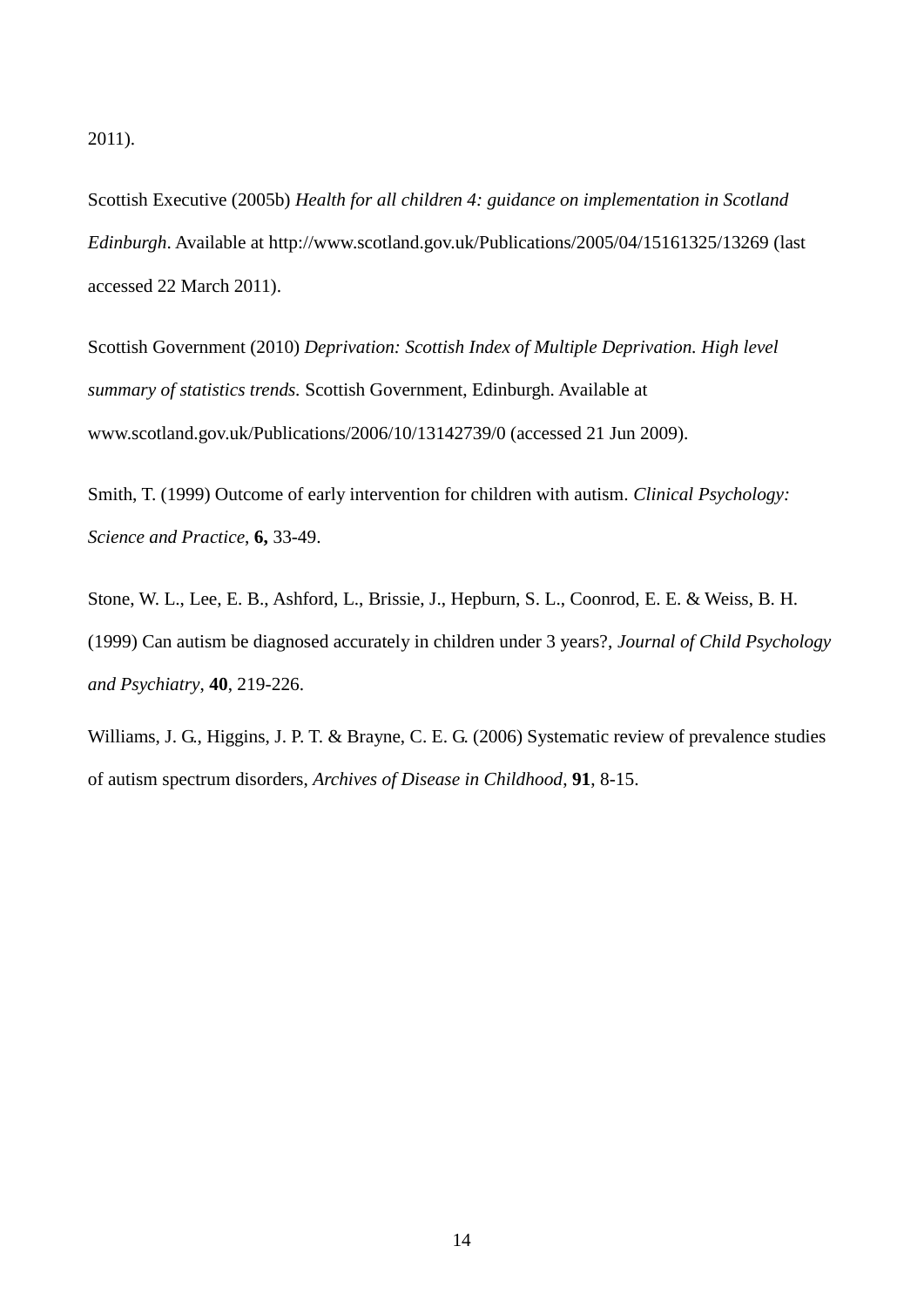2011).

Scottish Executive (2005b) *Health for all children 4: guidance on implementation in Scotland Edinburgh*. Available at <http://www.scotland.gov.uk/Publications/2005/04/15161325/13269> (last accessed 22 March 2011).

Scottish Government (2010) *Deprivation: Scottish Index of Multiple Deprivation. High level summary of statistics trends.* Scottish Government, Edinburgh. Available at www.scotland.gov.uk/Publications/2006/10/13142739/0 (accessed 21 Jun 2009).

Smith, T. (1999) Outcome of early intervention for children with autism. *Clinical Psychology: Science and Practice*, **6,** 33-49.

Stone, W. L., Lee, E. B., Ashford, L., Brissie, J., Hepburn, S. L., Coonrod, E. E. & Weiss, B. H. (1999) Can autism be diagnosed accurately in children under 3 years?, *Journal of Child Psychology and Psychiatry*, **40**, 219-226.

Williams, J. G., Higgins, J. P. T. & Brayne, C. E. G. (2006) Systematic review of prevalence studies of autism spectrum disorders, *Archives of Disease in Childhood*, **91**, 8-15.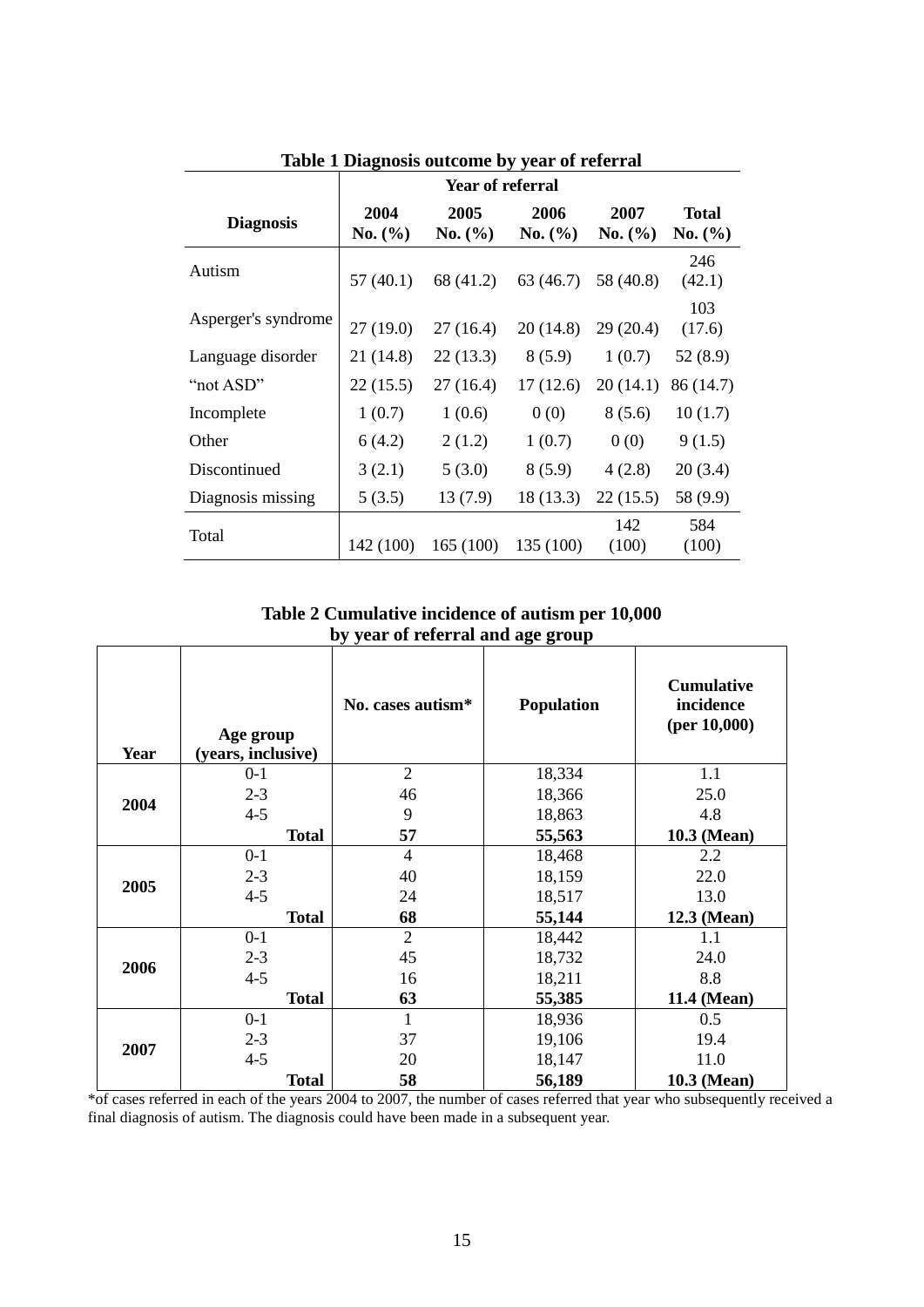|                     | Year of referral |                 |                 |                 |                         |
|---------------------|------------------|-----------------|-----------------|-----------------|-------------------------|
| <b>Diagnosis</b>    | 2004<br>No. (%)  | 2005<br>No. (%) | 2006<br>No. (%) | 2007<br>No. (%) | <b>Total</b><br>No. (%) |
| Autism              | 57(40.1)         | 68 (41.2)       | 63 (46.7)       | 58 (40.8)       | 246<br>(42.1)           |
| Asperger's syndrome | 27(19.0)         | 27(16.4)        | 20(14.8)        | 29(20.4)        | 103<br>(17.6)           |
| Language disorder   | 21 (14.8)        | 22(13.3)        | 8(5.9)          | 1(0.7)          | 52 (8.9)                |
| "not ASD"           | 22 (15.5)        | 27 (16.4)       | 17(12.6)        | 20(14.1)        | 86 (14.7)               |
| Incomplete          | 1(0.7)           | 1(0.6)          | 0(0)            | 8(5.6)          | 10(1.7)                 |
| Other               | 6(4.2)           | 2(1.2)          | 1(0.7)          | 0(0)            | 9(1.5)                  |
| Discontinued        | 3(2.1)           | 5(3.0)          | 8(5.9)          | 4(2.8)          | 20(3.4)                 |
| Diagnosis missing   | 5(3.5)           | 13(7.9)         | 18 (13.3)       | 22(15.5)        | 58 (9.9)                |
| Total               | 142 (100)        | 165(100)        | 135 (100)       | 142<br>(100)    | 584<br>(100)            |

**Table 1 Diagnosis outcome by year of referral**

**Table 2 Cumulative incidence of autism per 10,000 by year of referral and age group**

| <b>Year</b> | Age group<br>(years, inclusive) | No. cases autism <sup>*</sup> | <b>Population</b> | <b>Cumulative</b><br>incidence<br>$(per\,10,000)$ |
|-------------|---------------------------------|-------------------------------|-------------------|---------------------------------------------------|
|             | $0 - 1$                         | $\overline{2}$                | 18,334            | 1.1                                               |
| 2004        | $2 - 3$                         | 46                            | 18,366            | 25.0                                              |
|             | $4 - 5$                         | 9                             | 18,863            | 4.8                                               |
|             | <b>Total</b>                    | 57                            | 55,563            | 10.3 (Mean)                                       |
|             | $0-1$                           | $\overline{4}$                | 18,468            | 2.2                                               |
|             | $2 - 3$                         | 40                            | 18,159            | 22.0                                              |
| 2005        | $4 - 5$                         | 24                            | 18,517            | 13.0                                              |
|             | <b>Total</b>                    | 68                            | 55,144            | 12.3 (Mean)                                       |
|             | $0-1$                           | $\overline{2}$                | 18,442            | 1.1                                               |
| 2006        | $2 - 3$                         | 45                            | 18,732            | 24.0                                              |
|             | $4 - 5$                         | 16                            | 18,211            | 8.8                                               |
|             | <b>Total</b>                    | 63                            | 55,385            | 11.4 (Mean)                                       |
|             | $0-1$                           | 1                             | 18,936            | 0.5                                               |
|             | $2 - 3$                         | 37                            | 19,106            | 19.4                                              |
| 2007        | $4 - 5$                         | 20                            | 18,147            | 11.0                                              |
|             | <b>Total</b>                    | 58                            | 56,189            | 10.3 (Mean)                                       |

\*of cases referred in each of the years 2004 to 2007, the number of cases referred that year who subsequently received a final diagnosis of autism. The diagnosis could have been made in a subsequent year.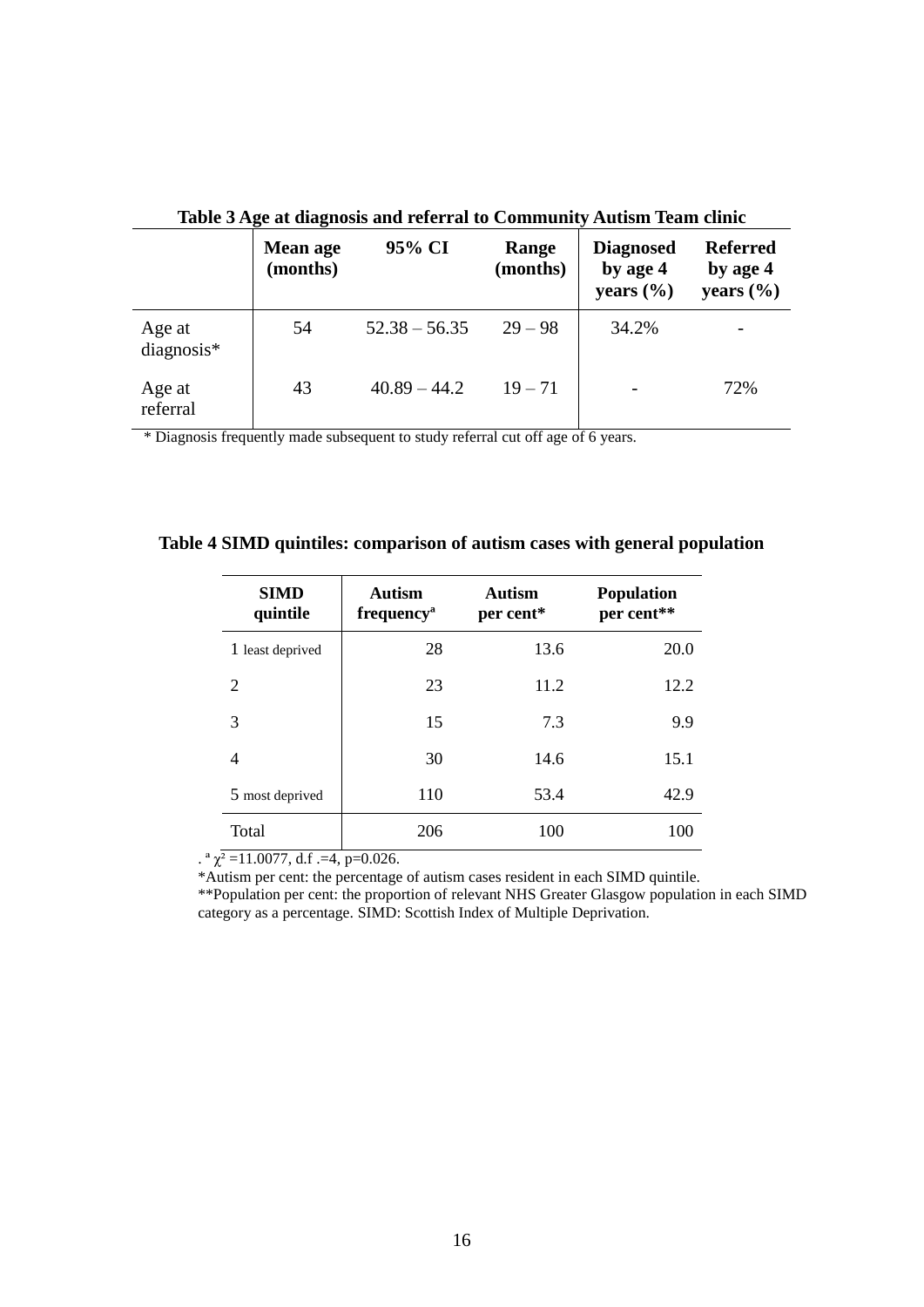| Table 5 Age at diagnosis and referral to Community Autism Team clinic |                      |                 |                   |                                               |                                              |
|-----------------------------------------------------------------------|----------------------|-----------------|-------------------|-----------------------------------------------|----------------------------------------------|
|                                                                       | Mean age<br>(months) | 95% CI          | Range<br>(months) | <b>Diagnosed</b><br>by age 4<br>years $(\% )$ | <b>Referred</b><br>by age 4<br>years $(\% )$ |
| Age at<br>$diagnostic$ *                                              | 54                   | $52.38 - 56.35$ | $29 - 98$         | 34.2%                                         |                                              |
| Age at<br>referral                                                    | 43                   | $40.89 - 44.2$  | $19 - 71$         |                                               | 72%                                          |

**Table 3 Age at diagnosis and referral to Community Autism Team clinic**

\* Diagnosis frequently made subsequent to study referral cut off age of 6 years.

| <b>SIMD</b><br>quintile | Autism<br>frequency <sup>a</sup> | Autism<br>per cent* | <b>Population</b><br>per cent** |
|-------------------------|----------------------------------|---------------------|---------------------------------|
| 1 least deprived        | 28                               | 13.6                | 20.0                            |
| 2                       | 23                               | 11.2                | 12.2                            |
| 3                       | 15                               | 7.3                 | 9.9                             |
| 4                       | 30                               | 14.6                | 15.1                            |
| 5 most deprived         | 110                              | 53.4                | 42.9                            |
| Total                   | 206                              | 100                 | 100                             |

**Table 4 SIMD quintiles: comparison of autism cases with general population**

.  $\alpha$   $\chi^2$  =11.0077, d.f .=4, p=0.026.

\*Autism per cent: the percentage of autism cases resident in each SIMD quintile.

\*\*Population per cent: the proportion of relevant NHS Greater Glasgow population in each SIMD category as a percentage. SIMD: Scottish Index of Multiple Deprivation.